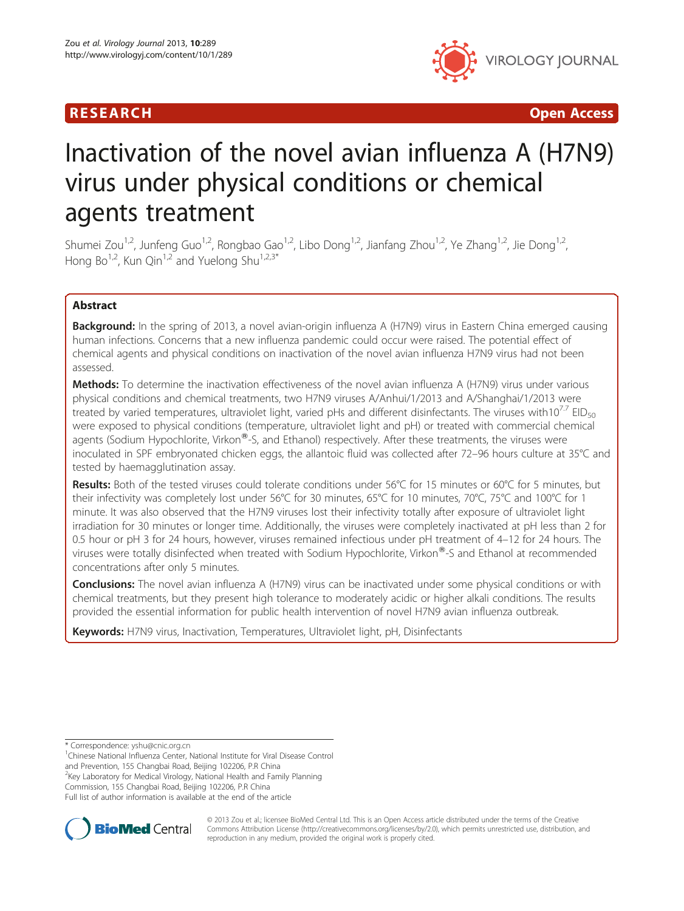

R E S EAR CH Open Access

# Inactivation of the novel avian influenza A (H7N9) virus under physical conditions or chemical agents treatment

Shumei Zou<sup>1,2</sup>, Junfeng Guo<sup>1,2</sup>, Rongbao Gao<sup>1,2</sup>, Libo Dong<sup>1,2</sup>, Jianfang Zhou<sup>1,2</sup>, Ye Zhang<sup>1,2</sup>, Jie Dong<sup>1,2</sup>, Hong Bo<sup>1,2</sup>, Kun Qin<sup>1,2</sup> and Yuelong Shu<sup>1,2,3\*</sup>

# Abstract

**Background:** In the spring of 2013, a novel avian-origin influenza A (H7N9) virus in Eastern China emerged causing human infections. Concerns that a new influenza pandemic could occur were raised. The potential effect of chemical agents and physical conditions on inactivation of the novel avian influenza H7N9 virus had not been assessed.

Methods: To determine the inactivation effectiveness of the novel avian influenza A (H7N9) virus under various physical conditions and chemical treatments, two H7N9 viruses A/Anhui/1/2013 and A/Shanghai/1/2013 were treated by varied temperatures, ultraviolet light, varied pHs and different disinfectants. The viruses with10<sup>7.7</sup> EID<sub>50</sub> were exposed to physical conditions (temperature, ultraviolet light and pH) or treated with commercial chemical agents (Sodium Hypochlorite, Virkon®-S, and Ethanol) respectively. After these treatments, the viruses were inoculated in SPF embryonated chicken eggs, the allantoic fluid was collected after 72–96 hours culture at 35°C and tested by haemagglutination assay.

Results: Both of the tested viruses could tolerate conditions under 56°C for 15 minutes or 60°C for 5 minutes, but their infectivity was completely lost under 56°C for 30 minutes, 65°C for 10 minutes, 70°C, 75°C and 100°C for 1 minute. It was also observed that the H7N9 viruses lost their infectivity totally after exposure of ultraviolet light irradiation for 30 minutes or longer time. Additionally, the viruses were completely inactivated at pH less than 2 for 0.5 hour or pH 3 for 24 hours, however, viruses remained infectious under pH treatment of 4–12 for 24 hours. The viruses were totally disinfected when treated with Sodium Hypochlorite, Virkon®-S and Ethanol at recommended concentrations after only 5 minutes.

Conclusions: The novel avian influenza A (H7N9) virus can be inactivated under some physical conditions or with chemical treatments, but they present high tolerance to moderately acidic or higher alkali conditions. The results provided the essential information for public health intervention of novel H7N9 avian influenza outbreak.

Keywords: H7N9 virus, Inactivation, Temperatures, Ultraviolet light, pH, Disinfectants

\* Correspondence: [yshu@cnic.org.cn](mailto:yshu@cnic.org.cn) <sup>1</sup>

<sup>1</sup>Chinese National Influenza Center, National Institute for Viral Disease Control

and Prevention, 155 Changbai Road, Beijing 102206, P.R China <sup>2</sup>Key Laboratory for Medical Virology, National Health and Family Planning

Commission, 155 Changbai Road, Beijing 102206, P.R China

Full list of author information is available at the end of the article



© 2013 Zou et al.; licensee BioMed Central Ltd. This is an Open Access article distributed under the terms of the Creative Commons Attribution License [\(http://creativecommons.org/licenses/by/2.0\)](http://creativecommons.org/licenses/by/2.0), which permits unrestricted use, distribution, and reproduction in any medium, provided the original work is properly cited.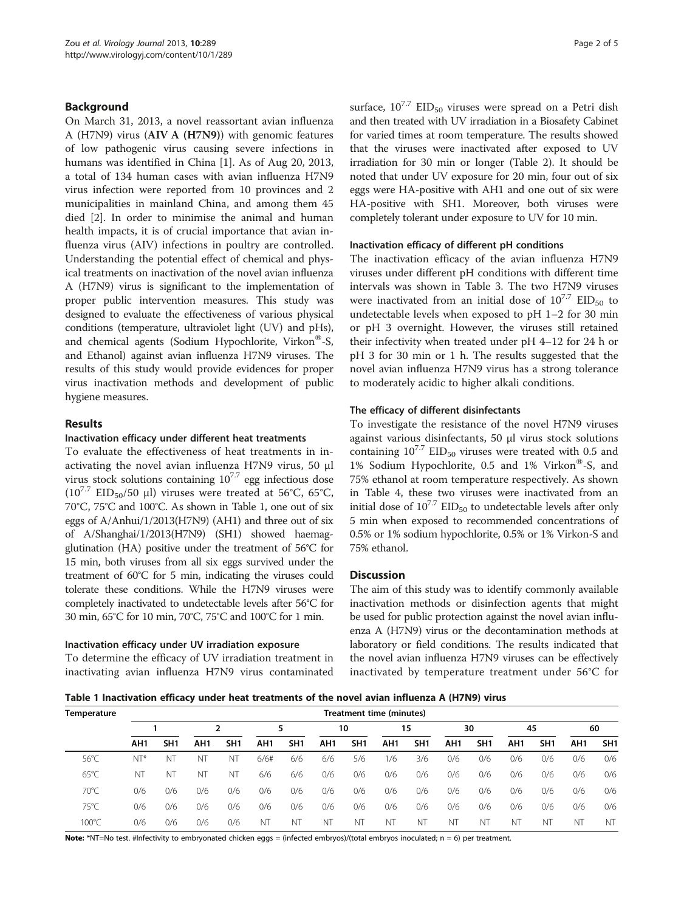### Background

On March 31, 2013, a novel reassortant avian influenza A (H7N9) virus (AIV A (H7N9)) with genomic features of low pathogenic virus causing severe infections in humans was identified in China [\[1](#page-4-0)]. As of Aug 20, 2013, a total of 134 human cases with avian influenza H7N9 virus infection were reported from 10 provinces and 2 municipalities in mainland China, and among them 45 died [[2\]](#page-4-0). In order to minimise the animal and human health impacts, it is of crucial importance that avian influenza virus (AIV) infections in poultry are controlled. Understanding the potential effect of chemical and physical treatments on inactivation of the novel avian influenza A (H7N9) virus is significant to the implementation of proper public intervention measures. This study was designed to evaluate the effectiveness of various physical conditions (temperature, ultraviolet light (UV) and pHs), and chemical agents (Sodium Hypochlorite, Virkon®-S, and Ethanol) against avian influenza H7N9 viruses. The results of this study would provide evidences for proper virus inactivation methods and development of public hygiene measures.

#### Results

## Inactivation efficacy under different heat treatments

To evaluate the effectiveness of heat treatments in inactivating the novel avian influenza H7N9 virus, 50 μl virus stock solutions containing  $10^{7.7}$  egg infectious dose  $(10^{7.7}$  EID<sub>50</sub>/50 μl) viruses were treated at 56°C, 65°C, 70°C, 75°C and 100°C. As shown in Table 1, one out of six eggs of A/Anhui/1/2013(H7N9) (AH1) and three out of six of A/Shanghai/1/2013(H7N9) (SH1) showed haemagglutination (HA) positive under the treatment of 56°C for 15 min, both viruses from all six eggs survived under the treatment of 60°C for 5 min, indicating the viruses could tolerate these conditions. While the H7N9 viruses were completely inactivated to undetectable levels after 56°C for 30 min, 65°C for 10 min, 70°C, 75°C and 100°C for 1 min.

#### Inactivation efficacy under UV irradiation exposure

To determine the efficacy of UV irradiation treatment in inactivating avian influenza H7N9 virus contaminated surface,  $10^{7.7}$  EID<sub>50</sub> viruses were spread on a Petri dish and then treated with UV irradiation in a Biosafety Cabinet for varied times at room temperature. The results showed that the viruses were inactivated after exposed to UV irradiation for 30 min or longer (Table [2\)](#page-2-0). It should be noted that under UV exposure for 20 min, four out of six eggs were HA-positive with AH1 and one out of six were HA-positive with SH1. Moreover, both viruses were completely tolerant under exposure to UV for 10 min.

#### Inactivation efficacy of different pH conditions

The inactivation efficacy of the avian influenza H7N9 viruses under different pH conditions with different time intervals was shown in Table [3](#page-2-0). The two H7N9 viruses were inactivated from an initial dose of  $10^{7.7}$  EID<sub>50</sub> to undetectable levels when exposed to pH 1–2 for 30 min or pH 3 overnight. However, the viruses still retained their infectivity when treated under pH 4–12 for 24 h or pH 3 for 30 min or 1 h. The results suggested that the novel avian influenza H7N9 virus has a strong tolerance to moderately acidic to higher alkali conditions.

#### The efficacy of different disinfectants

To investigate the resistance of the novel H7N9 viruses against various disinfectants, 50 μl virus stock solutions containing  $10^{7.7}$  EID<sub>50</sub> viruses were treated with 0.5 and 1% Sodium Hypochlorite, 0.5 and 1% Virkon®-S, and 75% ethanol at room temperature respectively. As shown in Table [4](#page-3-0), these two viruses were inactivated from an initial dose of  $10^{7.7}$  EID<sub>50</sub> to undetectable levels after only 5 min when exposed to recommended concentrations of 0.5% or 1% sodium hypochlorite, 0.5% or 1% Virkon-S and 75% ethanol.

#### **Discussion**

The aim of this study was to identify commonly available inactivation methods or disinfection agents that might be used for public protection against the novel avian influenza A (H7N9) virus or the decontamination methods at laboratory or field conditions. The results indicated that the novel avian influenza H7N9 viruses can be effectively inactivated by temperature treatment under 56°C for

Table 1 Inactivation efficacy under heat treatments of the novel avian influenza A (H7N9) virus

| Temperature     | Treatment time (minutes) |                 |     |           |                 |                 |     |                 |                 |                 |     |                 |                 |                 |     |                 |
|-----------------|--------------------------|-----------------|-----|-----------|-----------------|-----------------|-----|-----------------|-----------------|-----------------|-----|-----------------|-----------------|-----------------|-----|-----------------|
|                 |                          |                 | ำ   |           |                 |                 | 10  |                 | 15              |                 | 30  |                 | 45              |                 | 60  |                 |
|                 | AH1                      | SH <sub>1</sub> | AH1 | SH1       | AH <sub>1</sub> | SH <sub>1</sub> | AH1 | SH <sub>1</sub> | AH <sub>1</sub> | SH <sub>1</sub> | AH1 | SH <sub>1</sub> | AH <sub>1</sub> | SH <sub>1</sub> | AH1 | SH <sub>1</sub> |
| $56^{\circ}$ C  | $NT*$                    | NT              | NT  | <b>NT</b> | 6/6#            | 6/6             | 6/6 | 5/6             | 1/6             | 3/6             | 0/6 | 0/6             | 0/6             | 0/6             | 0/6 | 0/6             |
| $65^{\circ}$ C  | NT                       | ΝT              | NT  | <b>NT</b> | 6/6             | 6/6             | 0/6 | 0/6             | 0/6             | 0/6             | 0/6 | 0/6             | 0/6             | 0/6             | 0/6 | 0/6             |
| 70°C            | 0/6                      | 0/6             | 0/6 | 0/6       | 0/6             | 0/6             | 0/6 | 0/6             | 0/6             | 0/6             | 0/6 | 0/6             | 0/6             | 0/6             | 0/6 | 0/6             |
| 75°C            | 0/6                      | 0/6             | 0/6 | 0/6       | 0/6             | 0/6             | 0/6 | 0/6             | 0/6             | 0/6             | 0/6 | 0/6             | 0/6             | 0/6             | 0/6 | 0/6             |
| $100^{\circ}$ C | 0/6                      | 0/6             | 0/6 | 0/6       | NΤ              | N               | NT  | N1              | N1              | NΊ              | N1  | NT              | N7              | N1              | .N1 | <b>NT</b>       |

Note: \*NT=No test. #Infectivity to embryonated chicken eggs = (infected embryos)/(total embryos inoculated;  $n = 6$ ) per treatment.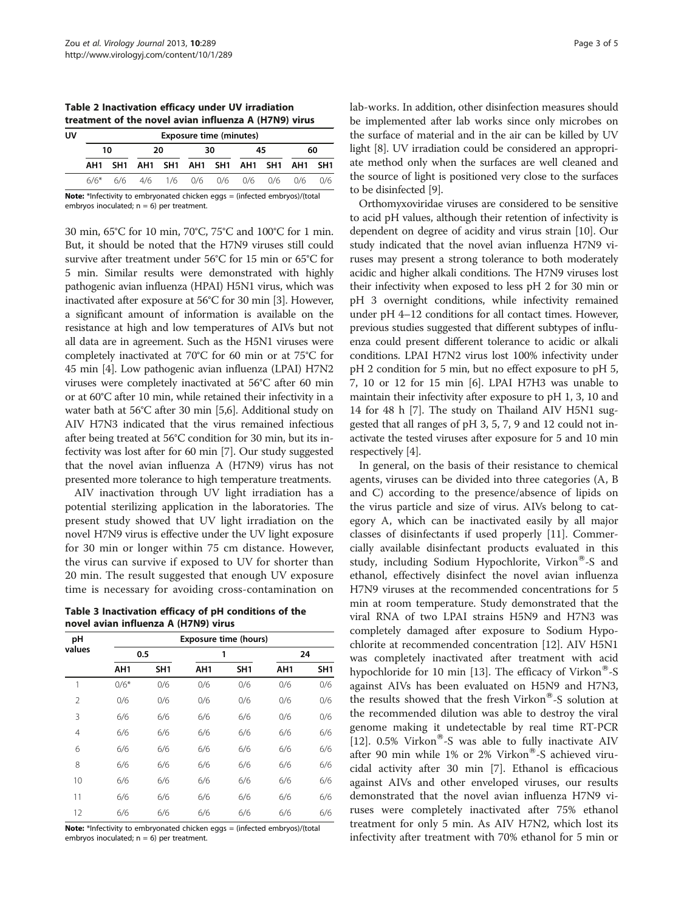<span id="page-2-0"></span>Table 2 Inactivation efficacy under UV irradiation treatment of the novel avian influenza A (H7N9) virus

| UV | <b>Exposure time (minutes)</b> |  |    |  |    |  |    |  |                                         |     |  |  |
|----|--------------------------------|--|----|--|----|--|----|--|-----------------------------------------|-----|--|--|
|    | 10                             |  | 20 |  | 30 |  | 45 |  | 60                                      |     |  |  |
|    |                                |  |    |  |    |  |    |  | AH1 SH1 AH1 SH1 AH1 SH1 AH1 SH1 AH1 SH1 |     |  |  |
|    | 6/6*                           |  |    |  |    |  |    |  | 6/6 4/6 1/6 0/6 0/6 0/6 0/6 0/6         | 0/6 |  |  |

Note: \*Infectivity to embryonated chicken eggs = (infected embryos)/(total embryos inoculated;  $n = 6$ ) per treatment.

30 min, 65°C for 10 min, 70°C, 75°C and 100°C for 1 min. But, it should be noted that the H7N9 viruses still could survive after treatment under 56°C for 15 min or 65°C for 5 min. Similar results were demonstrated with highly pathogenic avian influenza (HPAI) H5N1 virus, which was inactivated after exposure at 56°C for 30 min [[3](#page-4-0)]. However, a significant amount of information is available on the resistance at high and low temperatures of AIVs but not all data are in agreement. Such as the H5N1 viruses were completely inactivated at 70°C for 60 min or at 75°C for 45 min [[4\]](#page-4-0). Low pathogenic avian influenza (LPAI) H7N2 viruses were completely inactivated at 56°C after 60 min or at 60°C after 10 min, while retained their infectivity in a water bath at 56°C after 30 min [[5,6](#page-4-0)]. Additional study on AIV H7N3 indicated that the virus remained infectious after being treated at 56°C condition for 30 min, but its infectivity was lost after for 60 min [\[7](#page-4-0)]. Our study suggested that the novel avian influenza A (H7N9) virus has not presented more tolerance to high temperature treatments.

AIV inactivation through UV light irradiation has a potential sterilizing application in the laboratories. The present study showed that UV light irradiation on the novel H7N9 virus is effective under the UV light exposure for 30 min or longer within 75 cm distance. However, the virus can survive if exposed to UV for shorter than 20 min. The result suggested that enough UV exposure time is necessary for avoiding cross-contamination on

Table 3 Inactivation efficacy of pH conditions of the novel avian influenza A (H7N9) virus

| pH             |                 |                 | <b>Exposure time (hours)</b> |                 |                 |                 |  |  |
|----------------|-----------------|-----------------|------------------------------|-----------------|-----------------|-----------------|--|--|
| values         |                 | 0.5             |                              | 1               |                 | 24              |  |  |
|                | AH <sub>1</sub> | SH <sub>1</sub> | AH <sub>1</sub>              | SH <sub>1</sub> | AH <sub>1</sub> | SH <sub>1</sub> |  |  |
| 1              | $0/6*$          | 0/6             | 0/6                          | 0/6             | 0/6             | 0/6             |  |  |
| 2              | 0/6             | 0/6             | 0/6                          | 0/6             | 0/6             | 0/6             |  |  |
| 3              | 6/6             | 6/6             | 6/6                          | 6/6             | 0/6             | 0/6             |  |  |
| $\overline{4}$ | 6/6             | 6/6             | 6/6                          | 6/6             | 6/6             | 6/6             |  |  |
| 6              | 6/6             | 6/6             | 6/6                          | 6/6             | 6/6             | 6/6             |  |  |
| 8              | 6/6             | 6/6             | 6/6                          | 6/6             | 6/6             | 6/6             |  |  |
| 10             | 6/6             | 6/6             | 6/6                          | 6/6             | 6/6             | 6/6             |  |  |
| 11             | 6/6             | 6/6             | 6/6                          | 6/6             | 6/6             | 6/6             |  |  |
| 12             | 6/6             | 6/6             | 6/6                          | 6/6             | 6/6             | 6/6             |  |  |

Note: \*Infectivity to embryonated chicken eggs = (infected embryos)/(total embryos inoculated;  $n = 6$ ) per treatment.

lab-works. In addition, other disinfection measures should be implemented after lab works since only microbes on the surface of material and in the air can be killed by UV light [[8\]](#page-4-0). UV irradiation could be considered an appropriate method only when the surfaces are well cleaned and the source of light is positioned very close to the surfaces to be disinfected [\[9](#page-4-0)].

Orthomyxoviridae viruses are considered to be sensitive to acid pH values, although their retention of infectivity is dependent on degree of acidity and virus strain [\[10\]](#page-4-0). Our study indicated that the novel avian influenza H7N9 viruses may present a strong tolerance to both moderately acidic and higher alkali conditions. The H7N9 viruses lost their infectivity when exposed to less pH 2 for 30 min or pH 3 overnight conditions, while infectivity remained under pH 4–12 conditions for all contact times. However, previous studies suggested that different subtypes of influenza could present different tolerance to acidic or alkali conditions. LPAI H7N2 virus lost 100% infectivity under pH 2 condition for 5 min, but no effect exposure to pH 5, 7, 10 or 12 for 15 min [\[6](#page-4-0)]. LPAI H7H3 was unable to maintain their infectivity after exposure to pH 1, 3, 10 and 14 for 48 h [\[7](#page-4-0)]. The study on Thailand AIV H5N1 suggested that all ranges of pH 3, 5, 7, 9 and 12 could not inactivate the tested viruses after exposure for 5 and 10 min respectively [[4\]](#page-4-0).

In general, on the basis of their resistance to chemical agents, viruses can be divided into three categories (A, B and C) according to the presence/absence of lipids on the virus particle and size of virus. AIVs belong to category A, which can be inactivated easily by all major classes of disinfectants if used properly [\[11](#page-4-0)]. Commercially available disinfectant products evaluated in this study, including Sodium Hypochlorite, Virkon®-S and ethanol, effectively disinfect the novel avian influenza H7N9 viruses at the recommended concentrations for 5 min at room temperature. Study demonstrated that the viral RNA of two LPAI strains H5N9 and H7N3 was completely damaged after exposure to Sodium Hypochlorite at recommended concentration [\[12\]](#page-4-0). AIV H5N1 was completely inactivated after treatment with acid hypochloride for 10 min [\[13](#page-4-0)]. The efficacy of Virkon<sup>®</sup>-S against AIVs has been evaluated on H5N9 and H7N3, the results showed that the fresh Virkon $\mathscr{S}$ -S solution at the recommended dilution was able to destroy the viral genome making it undetectable by real time RT-PCR [[12\]](#page-4-0).  $0.5\%$  Virkon<sup>®</sup>-S was able to fully inactivate AIV after 90 min while 1% or 2% Virkon®-S achieved virucidal activity after 30 min [\[7](#page-4-0)]. Ethanol is efficacious against AIVs and other enveloped viruses, our results demonstrated that the novel avian influenza H7N9 viruses were completely inactivated after 75% ethanol treatment for only 5 min. As AIV H7N2, which lost its infectivity after treatment with 70% ethanol for 5 min or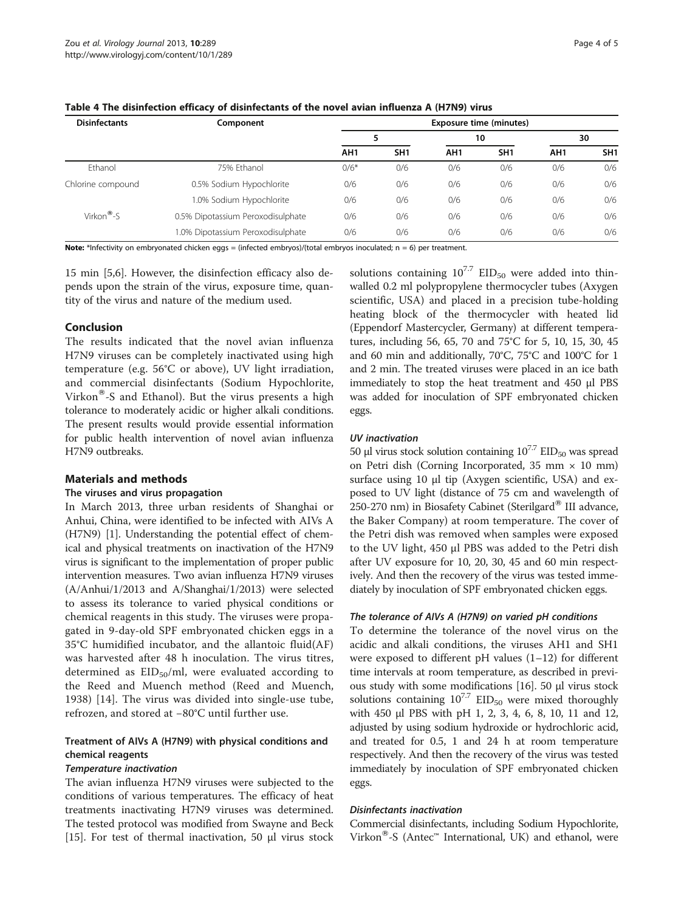| <b>Disinfectants</b>     | Component                         | <b>Exposure time (minutes)</b> |                 |                 |                 |                 |                 |  |  |
|--------------------------|-----------------------------------|--------------------------------|-----------------|-----------------|-----------------|-----------------|-----------------|--|--|
|                          |                                   |                                |                 | 10              |                 | 30              |                 |  |  |
|                          |                                   | AH <sub>1</sub>                | SH <sub>1</sub> | AH <sub>1</sub> | SH <sub>1</sub> | AH <sub>1</sub> | SH <sub>1</sub> |  |  |
| Ethanol                  | 75% Ethanol                       | $0/6*$                         | 0/6             | 0/6             | 0/6             | 0/6             | 0/6             |  |  |
| Chlorine compound        | 0.5% Sodium Hypochlorite          | 0/6                            | 0/6             | 0/6             | 0/6             | 0/6             | 0/6             |  |  |
|                          | 1.0% Sodium Hypochlorite          | 0/6                            | 0/6             | 0/6             | 0/6             | 0/6             | 0/6             |  |  |
| Virkon $^{\circledR}$ -S | 0.5% Dipotassium Peroxodisulphate | 0/6                            | 0/6             | 0/6             | 0/6             | 0/6             | 0/6             |  |  |
|                          | 1.0% Dipotassium Peroxodisulphate | 0/6                            | 0/6             | 0/6             | 0/6             | 0/6             | 0/6             |  |  |

<span id="page-3-0"></span>Table 4 The disinfection efficacy of disinfectants of the novel avian influenza A (H7N9) virus

Note: \*Infectivity on embryonated chicken eggs = (infected embryos)/(total embryos inoculated;  $n = 6$ ) per treatment.

15 min [\[5,6](#page-4-0)]. However, the disinfection efficacy also depends upon the strain of the virus, exposure time, quantity of the virus and nature of the medium used.

#### Conclusion

The results indicated that the novel avian influenza H7N9 viruses can be completely inactivated using high temperature (e.g. 56°C or above), UV light irradiation, and commercial disinfectants (Sodium Hypochlorite, Virkon<sup>®</sup>-S and Ethanol). But the virus presents a high tolerance to moderately acidic or higher alkali conditions. The present results would provide essential information for public health intervention of novel avian influenza H7N9 outbreaks.

#### Materials and methods

#### The viruses and virus propagation

In March 2013, three urban residents of Shanghai or Anhui, China, were identified to be infected with AIVs A (H7N9) [\[1](#page-4-0)]. Understanding the potential effect of chemical and physical treatments on inactivation of the H7N9 virus is significant to the implementation of proper public intervention measures. Two avian influenza H7N9 viruses (A/Anhui/1/2013 and A/Shanghai/1/2013) were selected to assess its tolerance to varied physical conditions or chemical reagents in this study. The viruses were propagated in 9-day-old SPF embryonated chicken eggs in a 35°C humidified incubator, and the allantoic fluid(AF) was harvested after 48 h inoculation. The virus titres, determined as  $EID_{50}/ml$ , were evaluated according to the Reed and Muench method (Reed and Muench, 1938) [[14](#page-4-0)]. The virus was divided into single-use tube, refrozen, and stored at −80°C until further use.

# Treatment of AIVs A (H7N9) with physical conditions and chemical reagents

#### Temperature inactivation

The avian influenza H7N9 viruses were subjected to the conditions of various temperatures. The efficacy of heat treatments inactivating H7N9 viruses was determined. The tested protocol was modified from Swayne and Beck [[15\]](#page-4-0). For test of thermal inactivation, 50 μl virus stock

solutions containing  $10^{7.7}$  EID<sub>50</sub> were added into thinwalled 0.2 ml polypropylene thermocycler tubes (Axygen scientific, USA) and placed in a precision tube-holding heating block of the thermocycler with heated lid (Eppendorf Mastercycler, Germany) at different temperatures, including 56, 65, 70 and 75°C for 5, 10, 15, 30, 45 and 60 min and additionally, 70°C, 75°C and 100°C for 1 and 2 min. The treated viruses were placed in an ice bath immediately to stop the heat treatment and 450 μl PBS was added for inoculation of SPF embryonated chicken eggs.

#### UV inactivation

50 μl virus stock solution containing  $10^{7.7}$  EID<sub>50</sub> was spread on Petri dish (Corning Incorporated, 35 mm  $\times$  10 mm) surface using 10 μl tip (Axygen scientific, USA) and exposed to UV light (distance of 75 cm and wavelength of 250-270 nm) in Biosafety Cabinet (Sterilgard<sup>®</sup> III advance, the Baker Company) at room temperature. The cover of the Petri dish was removed when samples were exposed to the UV light, 450 μl PBS was added to the Petri dish after UV exposure for 10, 20, 30, 45 and 60 min respectively. And then the recovery of the virus was tested immediately by inoculation of SPF embryonated chicken eggs.

#### The tolerance of AIVs A (H7N9) on varied pH conditions

To determine the tolerance of the novel virus on the acidic and alkali conditions, the viruses AH1 and SH1 were exposed to different  $pH$  values  $(1-12)$  for different time intervals at room temperature, as described in previous study with some modifications [[16](#page-4-0)]. 50 μl virus stock solutions containing  $10^{7.7}$  EID<sub>50</sub> were mixed thoroughly with 450 μl PBS with pH 1, 2, 3, 4, 6, 8, 10, 11 and 12, adjusted by using sodium hydroxide or hydrochloric acid, and treated for 0.5, 1 and 24 h at room temperature respectively. And then the recovery of the virus was tested immediately by inoculation of SPF embryonated chicken eggs.

#### Disinfectants inactivation

Commercial disinfectants, including Sodium Hypochlorite, Virkon<sup>®</sup>-S (Antec<sup>™</sup> International, UK) and ethanol, were